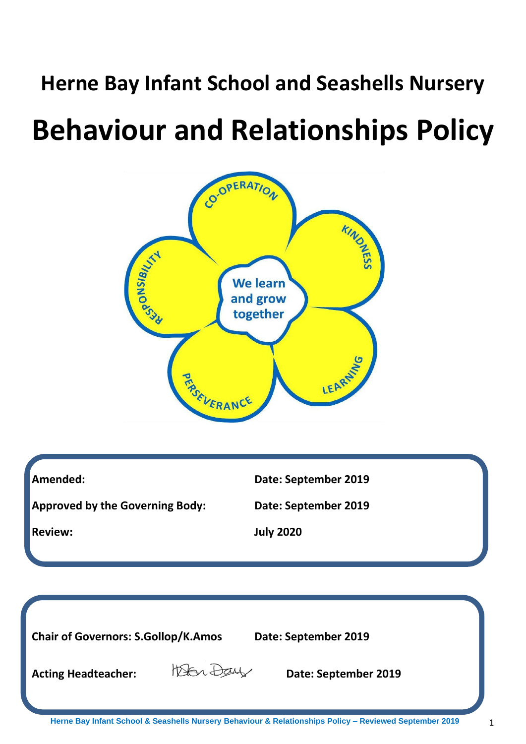# **Herne Bay Infant School and Seashells Nursery**

# **Behaviour and Relationships Policy**



| Amended:                               | Date: September 2019 |
|----------------------------------------|----------------------|
| <b>Approved by the Governing Body:</b> | Date: September 2019 |
| <b>Review:</b>                         | <b>July 2020</b>     |
|                                        |                      |

**Herne Bay Infant School & Seashells Nursery Behaviour & Relationships Policy – Reviewed September 2019** 1 **Chair of Governors: S.Gollop/K.Amos Date: September 2019** Acting Headteacher: *Derember 2019*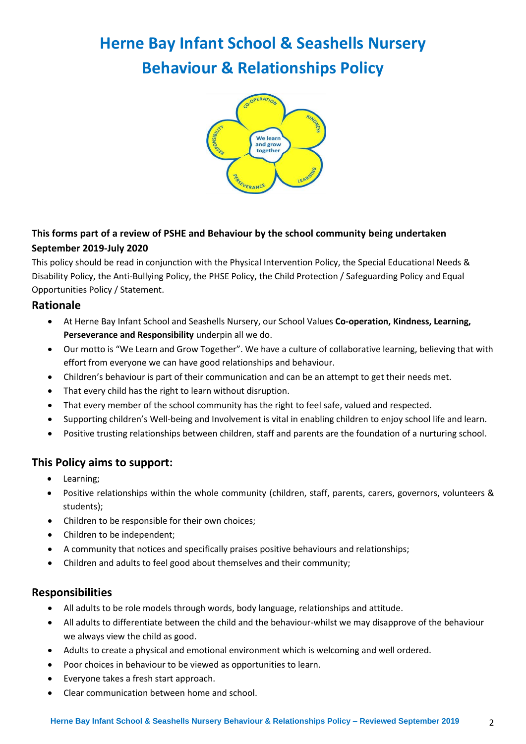# **Herne Bay Infant School & Seashells Nursery Behaviour & Relationships Policy**



# **This forms part of a review of PSHE and Behaviour by the school community being undertaken September 2019-July 2020**

This policy should be read in conjunction with the Physical Intervention Policy, the Special Educational Needs & Disability Policy, the Anti-Bullying Policy, the PHSE Policy, the Child Protection / Safeguarding Policy and Equal Opportunities Policy / Statement.

## **Rationale**

- At Herne Bay Infant School and Seashells Nursery, our School Values **Co-operation, Kindness, Learning, Perseverance and Responsibility** underpin all we do.
- Our motto is "We Learn and Grow Together". We have a culture of collaborative learning, believing that with effort from everyone we can have good relationships and behaviour.
- Children's behaviour is part of their communication and can be an attempt to get their needs met.
- That every child has the right to learn without disruption.
- That every member of the school community has the right to feel safe, valued and respected.
- Supporting children's Well-being and Involvement is vital in enabling children to enjoy school life and learn.
- Positive trusting relationships between children, staff and parents are the foundation of a nurturing school.

# **This Policy aims to support:**

- Learning;
- Positive relationships within the whole community (children, staff, parents, carers, governors, volunteers & students);
- Children to be responsible for their own choices;
- Children to be independent;
- A community that notices and specifically praises positive behaviours and relationships;
- Children and adults to feel good about themselves and their community;

# **Responsibilities**

- All adults to be role models through words, body language, relationships and attitude.
- All adults to differentiate between the child and the behaviour-whilst we may disapprove of the behaviour we always view the child as good.
- Adults to create a physical and emotional environment which is welcoming and well ordered.
- Poor choices in behaviour to be viewed as opportunities to learn.
- Everyone takes a fresh start approach.
- Clear communication between home and school.

#### **Herne Bay Infant School & Seashells Nursery Behaviour & Relationships Policy – Reviewed September 2019** 2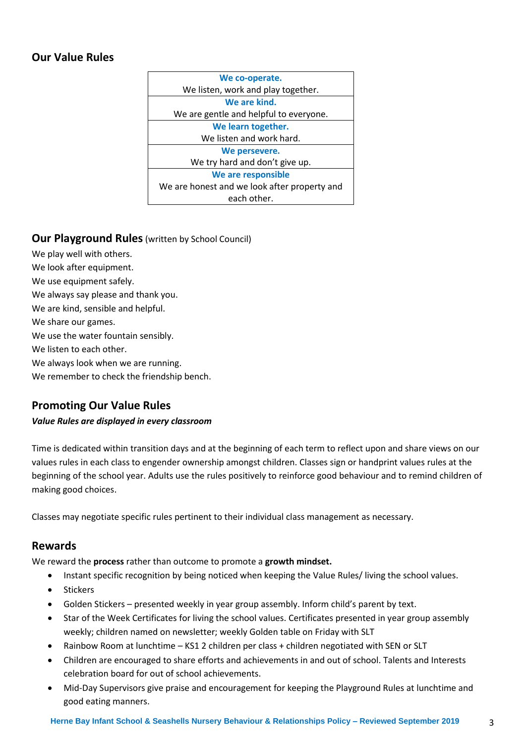# **Our Value Rules**



#### **Our Playground Rules** (written by School Council)

We play well with others. We look after equipment. We use equipment safely. We always say please and thank you. We are kind, sensible and helpful. We share our games. We use the water fountain sensibly. We listen to each other. We always look when we are running. We remember to check the friendship bench.

## **Promoting Our Value Rules**

#### *Value Rules are displayed in every classroom*

Time is dedicated within transition days and at the beginning of each term to reflect upon and share views on our values rules in each class to engender ownership amongst children. Classes sign or handprint values rules at the beginning of the school year. Adults use the rules positively to reinforce good behaviour and to remind children of making good choices.

Classes may negotiate specific rules pertinent to their individual class management as necessary.

#### **Rewards**

We reward the **process** rather than outcome to promote a **growth mindset.**

- Instant specific recognition by being noticed when keeping the Value Rules/ living the school values.
- **Stickers**
- Golden Stickers presented weekly in year group assembly. Inform child's parent by text.
- Star of the Week Certificates for living the school values. Certificates presented in year group assembly weekly; children named on newsletter; weekly Golden table on Friday with SLT
- Rainbow Room at lunchtime KS1 2 children per class + children negotiated with SEN or SLT
- Children are encouraged to share efforts and achievements in and out of school. Talents and Interests celebration board for out of school achievements.
- Mid-Day Supervisors give praise and encouragement for keeping the Playground Rules at lunchtime and good eating manners.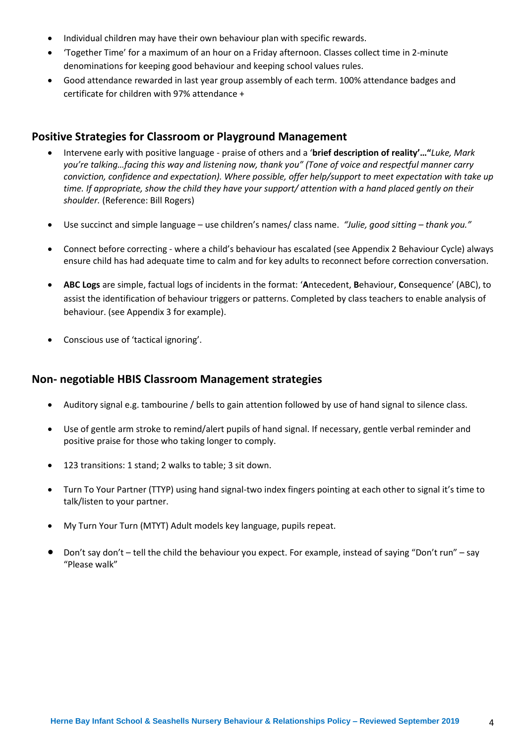- Individual children may have their own behaviour plan with specific rewards.
- 'Together Time' for a maximum of an hour on a Friday afternoon. Classes collect time in 2-minute denominations for keeping good behaviour and keeping school values rules.
- Good attendance rewarded in last year group assembly of each term. 100% attendance badges and certificate for children with 97% attendance +

### **Positive Strategies for Classroom or Playground Management**

- Intervene early with positive language praise of others and a '**brief description of reality'…"***Luke, Mark you're talking…facing this way and listening now, thank you" (Tone of voice and respectful manner carry conviction, confidence and expectation). Where possible, offer help/support to meet expectation with take up time. If appropriate, show the child they have your support/ attention with a hand placed gently on their shoulder.* (Reference: Bill Rogers)
- Use succinct and simple language use children's names/ class name. *"Julie, good sitting – thank you."*
- Connect before correcting where a child's behaviour has escalated (see Appendix 2 Behaviour Cycle) always ensure child has had adequate time to calm and for key adults to reconnect before correction conversation.
- **ABC Logs** are simple, factual logs of incidents in the format: '**A**ntecedent, **B**ehaviour, **C**onsequence' (ABC), to assist the identification of behaviour triggers or patterns. Completed by class teachers to enable analysis of behaviour. (see Appendix 3 for example).
- Conscious use of 'tactical ignoring'.

#### **Non- negotiable HBIS Classroom Management strategies**

- Auditory signal e.g. tambourine / bells to gain attention followed by use of hand signal to silence class.
- Use of gentle arm stroke to remind/alert pupils of hand signal. If necessary, gentle verbal reminder and positive praise for those who taking longer to comply.
- 123 transitions: 1 stand; 2 walks to table; 3 sit down.
- Turn To Your Partner (TTYP) using hand signal-two index fingers pointing at each other to signal it's time to talk/listen to your partner.
- My Turn Your Turn (MTYT) Adult models key language, pupils repeat.
- Don't say don't tell the child the behaviour you expect. For example, instead of saying "Don't run" say "Please walk"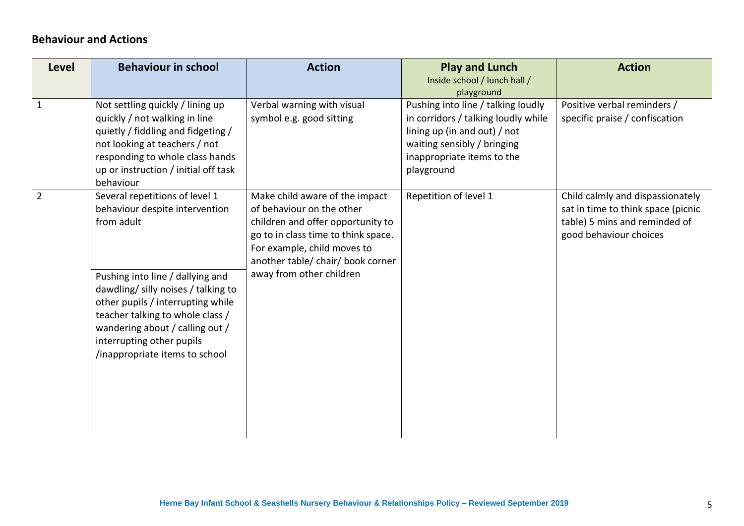# **Behaviour and Actions**

| <b>Level</b>   | <b>Behaviour in school</b>                                                                                                                                                                                                                                                                                                           | <b>Action</b>                                                                                                                                                                                                                           | <b>Play and Lunch</b><br>Inside school / lunch hall /<br>playground                                                                                                                  | <b>Action</b>                                                                                                                     |
|----------------|--------------------------------------------------------------------------------------------------------------------------------------------------------------------------------------------------------------------------------------------------------------------------------------------------------------------------------------|-----------------------------------------------------------------------------------------------------------------------------------------------------------------------------------------------------------------------------------------|--------------------------------------------------------------------------------------------------------------------------------------------------------------------------------------|-----------------------------------------------------------------------------------------------------------------------------------|
| $\mathbf 1$    | Not settling quickly / lining up<br>quickly / not walking in line<br>quietly / fiddling and fidgeting /<br>not looking at teachers / not<br>responding to whole class hands<br>up or instruction / initial off task<br>behaviour                                                                                                     | Verbal warning with visual<br>symbol e.g. good sitting                                                                                                                                                                                  | Pushing into line / talking loudly<br>in corridors / talking loudly while<br>lining up (in and out) / not<br>waiting sensibly / bringing<br>inappropriate items to the<br>playground | Positive verbal reminders /<br>specific praise / confiscation                                                                     |
| $\overline{2}$ | Several repetitions of level 1<br>behaviour despite intervention<br>from adult<br>Pushing into line / dallying and<br>dawdling/ silly noises / talking to<br>other pupils / interrupting while<br>teacher talking to whole class /<br>wandering about / calling out /<br>interrupting other pupils<br>/inappropriate items to school | Make child aware of the impact<br>of behaviour on the other<br>children and offer opportunity to<br>go to in class time to think space.<br>For example, child moves to<br>another table/ chair/ book corner<br>away from other children | Repetition of level 1                                                                                                                                                                | Child calmly and dispassionately<br>sat in time to think space (picnic<br>table) 5 mins and reminded of<br>good behaviour choices |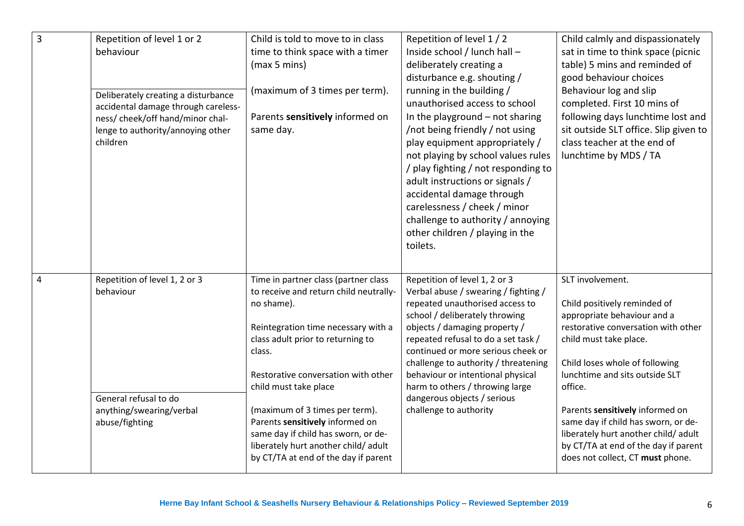| $\overline{3}$ | Repetition of level 1 or 2<br>behaviour<br>Deliberately creating a disturbance<br>accidental damage through careless-<br>ness/ cheek/off hand/minor chal-<br>lenge to authority/annoying other<br>children | Child is told to move to in class<br>time to think space with a timer<br>(max 5 mins)<br>(maximum of 3 times per term).<br>Parents sensitively informed on<br>same day.                                                                                                                                                                                                                                                                        | Repetition of level 1 / 2<br>Inside school / lunch hall -<br>deliberately creating a<br>disturbance e.g. shouting /<br>running in the building /<br>unauthorised access to school<br>In the playground $-$ not sharing<br>/not being friendly / not using<br>play equipment appropriately /<br>not playing by school values rules<br>/ play fighting / not responding to<br>adult instructions or signals /<br>accidental damage through<br>carelessness / cheek / minor<br>challenge to authority / annoying<br>other children / playing in the<br>toilets. | Child calmly and dispassionately<br>sat in time to think space (picnic<br>table) 5 mins and reminded of<br>good behaviour choices<br>Behaviour log and slip<br>completed. First 10 mins of<br>following days lunchtime lost and<br>sit outside SLT office. Slip given to<br>class teacher at the end of<br>lunchtime by MDS / TA                                                                                             |
|----------------|------------------------------------------------------------------------------------------------------------------------------------------------------------------------------------------------------------|------------------------------------------------------------------------------------------------------------------------------------------------------------------------------------------------------------------------------------------------------------------------------------------------------------------------------------------------------------------------------------------------------------------------------------------------|--------------------------------------------------------------------------------------------------------------------------------------------------------------------------------------------------------------------------------------------------------------------------------------------------------------------------------------------------------------------------------------------------------------------------------------------------------------------------------------------------------------------------------------------------------------|------------------------------------------------------------------------------------------------------------------------------------------------------------------------------------------------------------------------------------------------------------------------------------------------------------------------------------------------------------------------------------------------------------------------------|
| 4              | Repetition of level 1, 2 or 3<br>behaviour<br>General refusal to do<br>anything/swearing/verbal<br>abuse/fighting                                                                                          | Time in partner class (partner class<br>to receive and return child neutrally-<br>no shame).<br>Reintegration time necessary with a<br>class adult prior to returning to<br>class.<br>Restorative conversation with other<br>child must take place<br>(maximum of 3 times per term).<br>Parents sensitively informed on<br>same day if child has sworn, or de-<br>liberately hurt another child/ adult<br>by CT/TA at end of the day if parent | Repetition of level 1, 2 or 3<br>Verbal abuse / swearing / fighting /<br>repeated unauthorised access to<br>school / deliberately throwing<br>objects / damaging property /<br>repeated refusal to do a set task /<br>continued or more serious cheek or<br>challenge to authority / threatening<br>behaviour or intentional physical<br>harm to others / throwing large<br>dangerous objects / serious<br>challenge to authority                                                                                                                            | SLT involvement.<br>Child positively reminded of<br>appropriate behaviour and a<br>restorative conversation with other<br>child must take place.<br>Child loses whole of following<br>lunchtime and sits outside SLT<br>office.<br>Parents sensitively informed on<br>same day if child has sworn, or de-<br>liberately hurt another child/adult<br>by CT/TA at end of the day if parent<br>does not collect, CT must phone. |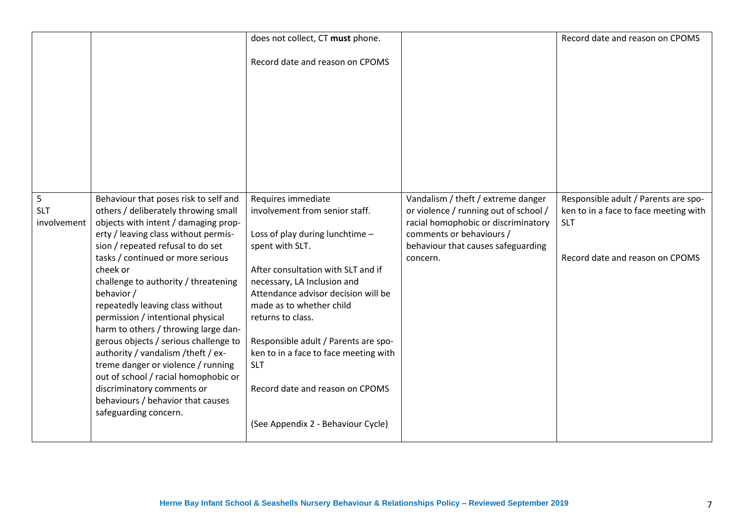|                                |                                                                                                                                                                                                                                                                                                                                                                                                                                                                                                                                                                                                                                                                                      | does not collect, CT must phone.<br>Record date and reason on CPOMS                                                                                                                                                                                                                                                                                                                                                                             |                                                                                                                                                                                                  | Record date and reason on CPOMS                                                                                                |
|--------------------------------|--------------------------------------------------------------------------------------------------------------------------------------------------------------------------------------------------------------------------------------------------------------------------------------------------------------------------------------------------------------------------------------------------------------------------------------------------------------------------------------------------------------------------------------------------------------------------------------------------------------------------------------------------------------------------------------|-------------------------------------------------------------------------------------------------------------------------------------------------------------------------------------------------------------------------------------------------------------------------------------------------------------------------------------------------------------------------------------------------------------------------------------------------|--------------------------------------------------------------------------------------------------------------------------------------------------------------------------------------------------|--------------------------------------------------------------------------------------------------------------------------------|
|                                |                                                                                                                                                                                                                                                                                                                                                                                                                                                                                                                                                                                                                                                                                      |                                                                                                                                                                                                                                                                                                                                                                                                                                                 |                                                                                                                                                                                                  |                                                                                                                                |
| 5<br><b>SLT</b><br>involvement | Behaviour that poses risk to self and<br>others / deliberately throwing small<br>objects with intent / damaging prop-<br>erty / leaving class without permis-<br>sion / repeated refusal to do set<br>tasks / continued or more serious<br>cheek or<br>challenge to authority / threatening<br>behavior /<br>repeatedly leaving class without<br>permission / intentional physical<br>harm to others / throwing large dan-<br>gerous objects / serious challenge to<br>authority / vandalism / theft / ex-<br>treme danger or violence / running<br>out of school / racial homophobic or<br>discriminatory comments or<br>behaviours / behavior that causes<br>safeguarding concern. | Requires immediate<br>involvement from senior staff.<br>Loss of play during lunchtime -<br>spent with SLT.<br>After consultation with SLT and if<br>necessary, LA Inclusion and<br>Attendance advisor decision will be<br>made as to whether child<br>returns to class.<br>Responsible adult / Parents are spo-<br>ken to in a face to face meeting with<br><b>SLT</b><br>Record date and reason on CPOMS<br>(See Appendix 2 - Behaviour Cycle) | Vandalism / theft / extreme danger<br>or violence / running out of school /<br>racial homophobic or discriminatory<br>comments or behaviours /<br>behaviour that causes safeguarding<br>concern. | Responsible adult / Parents are spo-<br>ken to in a face to face meeting with<br><b>SLT</b><br>Record date and reason on CPOMS |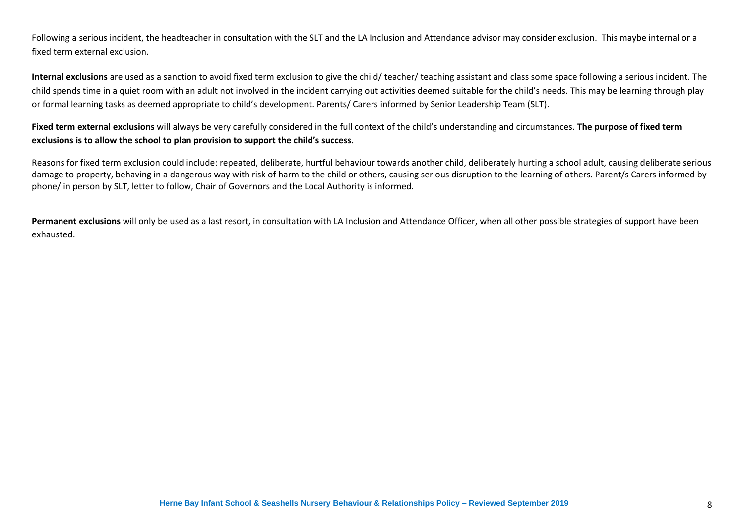Following a serious incident, the headteacher in consultation with the SLT and the LA Inclusion and Attendance advisor may consider exclusion. This maybe internal or a fixed term external exclusion.

**Internal exclusions** are used as a sanction to avoid fixed term exclusion to give the child/ teacher/ teaching assistant and class some space following a serious incident. The child spends time in a quiet room with an adult not involved in the incident carrying out activities deemed suitable for the child's needs. This may be learning through play or formal learning tasks as deemed appropriate to child's development. Parents/ Carers informed by Senior Leadership Team (SLT).

#### **Fixed term external exclusions** will always be very carefully considered in the full context of the child's understanding and circumstances. **The purpose of fixed term exclusions is to allow the school to plan provision to support the child's success.**

Reasons for fixed term exclusion could include: repeated, deliberate, hurtful behaviour towards another child, deliberately hurting a school adult, causing deliberate serious damage to property, behaving in a dangerous way with risk of harm to the child or others, causing serious disruption to the learning of others. Parent/s Carers informed by phone/ in person by SLT, letter to follow, Chair of Governors and the Local Authority is informed.

Permanent exclusions will only be used as a last resort, in consultation with LA Inclusion and Attendance Officer, when all other possible strategies of support have been exhausted.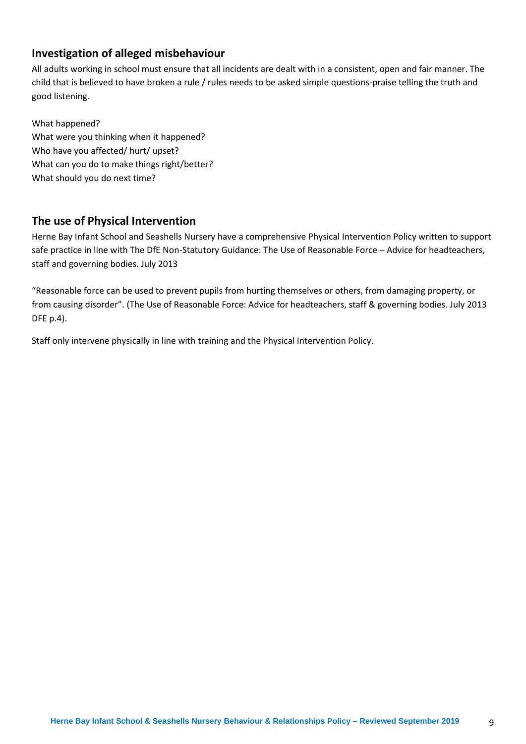# **Investigation of alleged misbehaviour**

All adults working in school must ensure that all incidents are dealt with in a consistent, open and fair manner. The child that is believed to have broken a rule / rules needs to be asked simple questions-praise telling the truth and good listening.

What happened? What were you thinking when it happened? Who have you affected/ hurt/ upset? What can you do to make things right/better? What should you do next time?

## **The use of Physical Intervention**

Herne Bay Infant School and Seashells Nursery have a comprehensive Physical Intervention Policy written to support safe practice in line with The DfE Non-Statutory Guidance: The Use of Reasonable Force – Advice for headteachers, staff and governing bodies. July 2013

"Reasonable force can be used to prevent pupils from hurting themselves or others, from damaging property, or from causing disorder". (The Use of Reasonable Force: Advice for headteachers, staff & governing bodies. July 2013 DFE p.4).

Staff only intervene physically in line with training and the Physical Intervention Policy.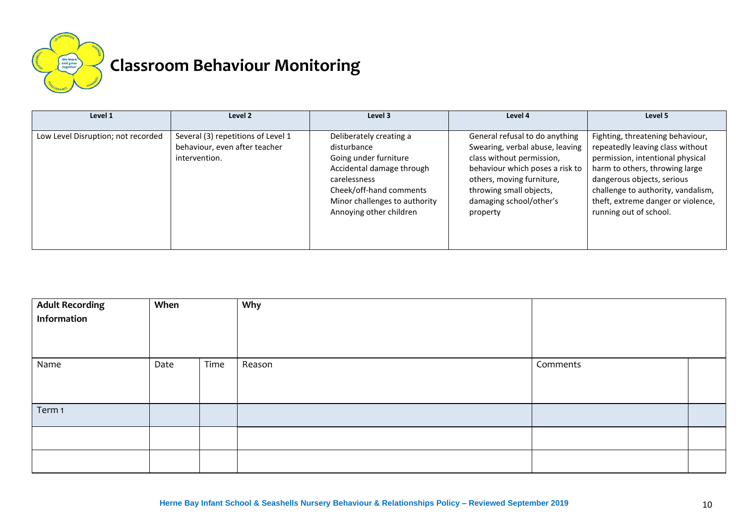

# **Classroom Behaviour Monitoring**

| Level 1                            | Level 2                                                                              | Level 3                                                                                                                                                                                             | Level 4                                                                                                                                                                                                                          | Level 5                                                                                                                                                                                                                                                                        |
|------------------------------------|--------------------------------------------------------------------------------------|-----------------------------------------------------------------------------------------------------------------------------------------------------------------------------------------------------|----------------------------------------------------------------------------------------------------------------------------------------------------------------------------------------------------------------------------------|--------------------------------------------------------------------------------------------------------------------------------------------------------------------------------------------------------------------------------------------------------------------------------|
| Low Level Disruption; not recorded | Several (3) repetitions of Level 1<br>behaviour, even after teacher<br>intervention. | Deliberately creating a<br>disturbance<br>Going under furniture<br>Accidental damage through<br>carelessness<br>Cheek/off-hand comments<br>Minor challenges to authority<br>Annoying other children | General refusal to do anything<br>Swearing, verbal abuse, leaving<br>class without permission,<br>behaviour which poses a risk to<br>others, moving furniture,<br>throwing small objects,<br>damaging school/other's<br>property | Fighting, threatening behaviour,<br>repeatedly leaving class without<br>permission, intentional physical<br>harm to others, throwing large<br>dangerous objects, serious<br>challenge to authority, vandalism,<br>theft, extreme danger or violence,<br>running out of school. |

| <b>Adult Recording</b><br>Information | When |      | Why    |          |  |
|---------------------------------------|------|------|--------|----------|--|
| Name                                  | Date | Time | Reason | Comments |  |
| Term 1                                |      |      |        |          |  |
|                                       |      |      |        |          |  |
|                                       |      |      |        |          |  |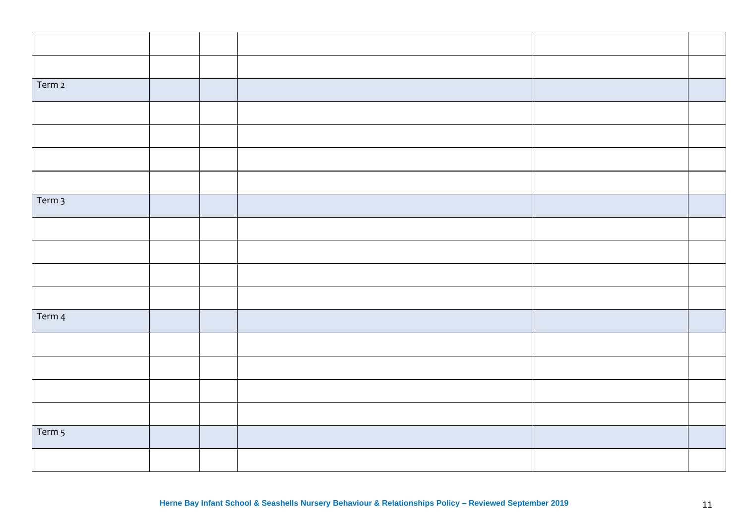| Term 2   |  |  |  |
|----------|--|--|--|
|          |  |  |  |
|          |  |  |  |
|          |  |  |  |
|          |  |  |  |
| Term $3$ |  |  |  |
|          |  |  |  |
|          |  |  |  |
|          |  |  |  |
|          |  |  |  |
| Term 4   |  |  |  |
|          |  |  |  |
|          |  |  |  |
|          |  |  |  |
|          |  |  |  |
| Term 5   |  |  |  |
|          |  |  |  |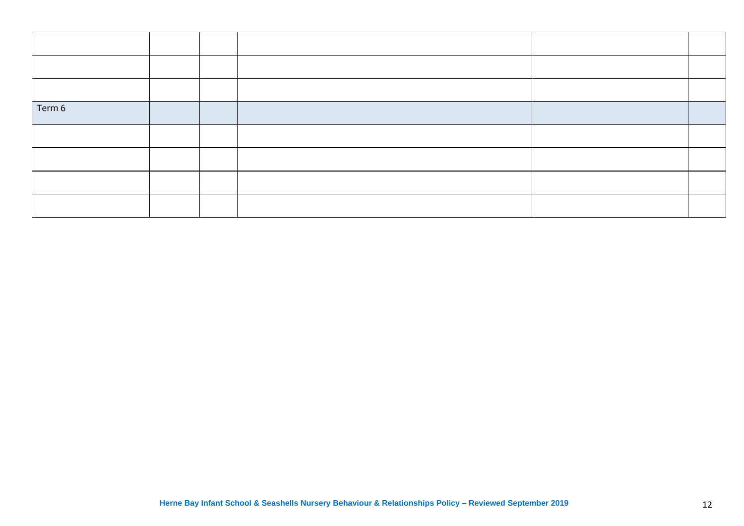| Term 6 |  |  |  |
|--------|--|--|--|
|        |  |  |  |
|        |  |  |  |
|        |  |  |  |
|        |  |  |  |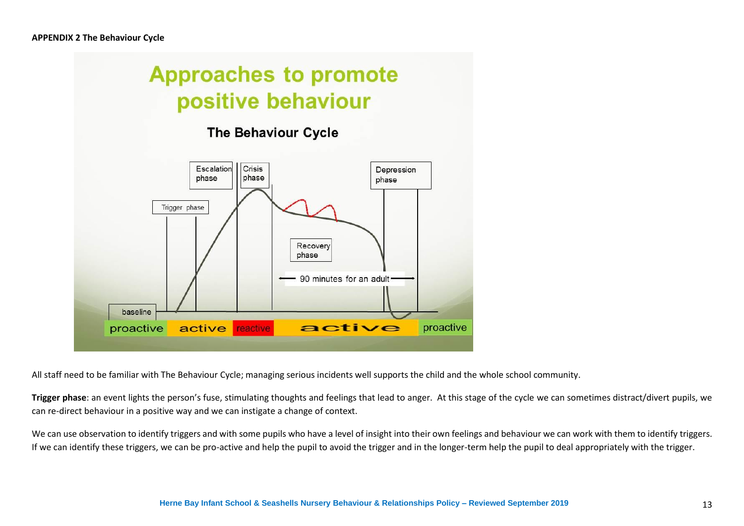

All staff need to be familiar with The Behaviour Cycle; managing serious incidents well supports the child and the whole school community.

**Trigger phase**: an event lights the person's fuse, stimulating thoughts and feelings that lead to anger. At this stage of the cycle we can sometimes distract/divert pupils, we can re-direct behaviour in a positive way and we can instigate a change of context.

We can use observation to identify triggers and with some pupils who have a level of insight into their own feelings and behaviour we can work with them to identify triggers. If we can identify these triggers, we can be pro-active and help the pupil to avoid the trigger and in the longer-term help the pupil to deal appropriately with the trigger.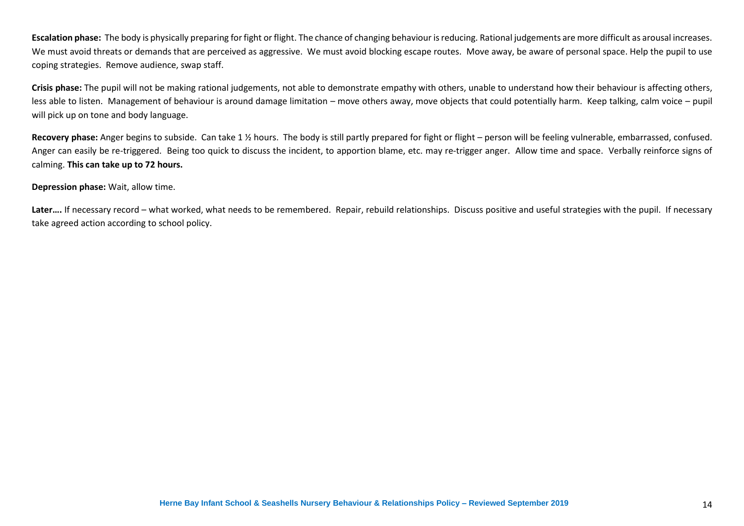**Escalation phase:** The body is physically preparing for fight or flight. The chance of changing behaviour is reducing. Rational judgements are more difficult as arousal increases. We must avoid threats or demands that are perceived as aggressive. We must avoid blocking escape routes. Move away, be aware of personal space. Help the pupil to use coping strategies. Remove audience, swap staff.

**Crisis phase:** The pupil will not be making rational judgements, not able to demonstrate empathy with others, unable to understand how their behaviour is affecting others, less able to listen. Management of behaviour is around damage limitation – move others away, move objects that could potentially harm. Keep talking, calm voice – pupil will pick up on tone and body language.

Recovery phase: Anger begins to subside. Can take 1 % hours. The body is still partly prepared for fight or flight – person will be feeling vulnerable, embarrassed, confused. Anger can easily be re-triggered. Being too quick to discuss the incident, to apportion blame, etc. may re-trigger anger. Allow time and space. Verbally reinforce signs of calming. **This can take up to 72 hours.**

#### **Depression phase:** Wait, allow time.

Later.... If necessary record – what worked, what needs to be remembered. Repair, rebuild relationships. Discuss positive and useful strategies with the pupil. If necessary take agreed action according to school policy.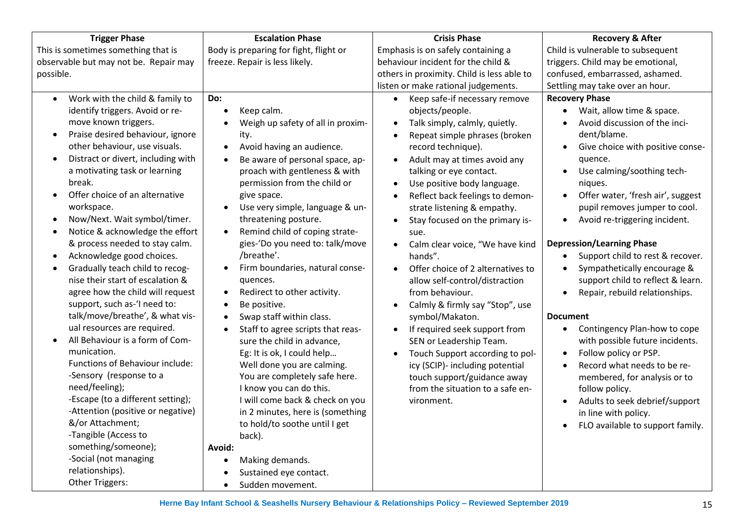| <b>Trigger Phase</b>                                                                                                                                                                                                                                                                                                                                                                                                                                                                                                                                                                                                                                                                                                                                                                                                                                                                                                                                                                                                                                | <b>Escalation Phase</b>                                                                                                                                                                                                                                                                                                                                                                                                                                                                                                                                                                                                                                                                                                                                                                                                                                                        | <b>Crisis Phase</b>                                                                                                                                                                                                                                                                                                                                                                                                                                                                                                                                                                                                                                                                                                                                                                                                                            | <b>Recovery &amp; After</b>                                                                                                                                                                                                                                                                                                                                                                                                                                                                                                                                                                                                                                                                                                                                                                                                                                              |
|-----------------------------------------------------------------------------------------------------------------------------------------------------------------------------------------------------------------------------------------------------------------------------------------------------------------------------------------------------------------------------------------------------------------------------------------------------------------------------------------------------------------------------------------------------------------------------------------------------------------------------------------------------------------------------------------------------------------------------------------------------------------------------------------------------------------------------------------------------------------------------------------------------------------------------------------------------------------------------------------------------------------------------------------------------|--------------------------------------------------------------------------------------------------------------------------------------------------------------------------------------------------------------------------------------------------------------------------------------------------------------------------------------------------------------------------------------------------------------------------------------------------------------------------------------------------------------------------------------------------------------------------------------------------------------------------------------------------------------------------------------------------------------------------------------------------------------------------------------------------------------------------------------------------------------------------------|------------------------------------------------------------------------------------------------------------------------------------------------------------------------------------------------------------------------------------------------------------------------------------------------------------------------------------------------------------------------------------------------------------------------------------------------------------------------------------------------------------------------------------------------------------------------------------------------------------------------------------------------------------------------------------------------------------------------------------------------------------------------------------------------------------------------------------------------|--------------------------------------------------------------------------------------------------------------------------------------------------------------------------------------------------------------------------------------------------------------------------------------------------------------------------------------------------------------------------------------------------------------------------------------------------------------------------------------------------------------------------------------------------------------------------------------------------------------------------------------------------------------------------------------------------------------------------------------------------------------------------------------------------------------------------------------------------------------------------|
| This is sometimes something that is                                                                                                                                                                                                                                                                                                                                                                                                                                                                                                                                                                                                                                                                                                                                                                                                                                                                                                                                                                                                                 | Body is preparing for fight, flight or                                                                                                                                                                                                                                                                                                                                                                                                                                                                                                                                                                                                                                                                                                                                                                                                                                         | Emphasis is on safely containing a                                                                                                                                                                                                                                                                                                                                                                                                                                                                                                                                                                                                                                                                                                                                                                                                             | Child is vulnerable to subsequent                                                                                                                                                                                                                                                                                                                                                                                                                                                                                                                                                                                                                                                                                                                                                                                                                                        |
| observable but may not be. Repair may                                                                                                                                                                                                                                                                                                                                                                                                                                                                                                                                                                                                                                                                                                                                                                                                                                                                                                                                                                                                               | freeze. Repair is less likely.                                                                                                                                                                                                                                                                                                                                                                                                                                                                                                                                                                                                                                                                                                                                                                                                                                                 | behaviour incident for the child &                                                                                                                                                                                                                                                                                                                                                                                                                                                                                                                                                                                                                                                                                                                                                                                                             | triggers. Child may be emotional,                                                                                                                                                                                                                                                                                                                                                                                                                                                                                                                                                                                                                                                                                                                                                                                                                                        |
| possible.                                                                                                                                                                                                                                                                                                                                                                                                                                                                                                                                                                                                                                                                                                                                                                                                                                                                                                                                                                                                                                           |                                                                                                                                                                                                                                                                                                                                                                                                                                                                                                                                                                                                                                                                                                                                                                                                                                                                                | others in proximity. Child is less able to                                                                                                                                                                                                                                                                                                                                                                                                                                                                                                                                                                                                                                                                                                                                                                                                     | confused, embarrassed, ashamed.                                                                                                                                                                                                                                                                                                                                                                                                                                                                                                                                                                                                                                                                                                                                                                                                                                          |
|                                                                                                                                                                                                                                                                                                                                                                                                                                                                                                                                                                                                                                                                                                                                                                                                                                                                                                                                                                                                                                                     |                                                                                                                                                                                                                                                                                                                                                                                                                                                                                                                                                                                                                                                                                                                                                                                                                                                                                | listen or make rational judgements.                                                                                                                                                                                                                                                                                                                                                                                                                                                                                                                                                                                                                                                                                                                                                                                                            | Settling may take over an hour.                                                                                                                                                                                                                                                                                                                                                                                                                                                                                                                                                                                                                                                                                                                                                                                                                                          |
| Work with the child & family to<br>$\bullet$<br>identify triggers. Avoid or re-<br>move known triggers.<br>Praise desired behaviour, ignore<br>$\bullet$<br>other behaviour, use visuals.<br>Distract or divert, including with<br>$\bullet$<br>a motivating task or learning<br>break.<br>Offer choice of an alternative<br>$\bullet$<br>workspace.<br>Now/Next. Wait symbol/timer.<br>$\bullet$<br>Notice & acknowledge the effort<br>$\bullet$<br>& process needed to stay calm.<br>Acknowledge good choices.<br>$\bullet$<br>Gradually teach child to recog-<br>$\bullet$<br>nise their start of escalation &<br>agree how the child will request<br>support, such as-'I need to:<br>talk/move/breathe', & what vis-<br>ual resources are required.<br>All Behaviour is a form of Com-<br>$\bullet$<br>munication.<br>Functions of Behaviour include:<br>-Sensory (response to a<br>need/feeling);<br>-Escape (to a different setting);<br>-Attention (positive or negative)<br>&/or Attachment;<br>-Tangible (Access to<br>something/someone); | Do:<br>Keep calm.<br>$\bullet$<br>Weigh up safety of all in proxim-<br>ity.<br>Avoid having an audience.<br>$\bullet$<br>Be aware of personal space, ap-<br>proach with gentleness & with<br>permission from the child or<br>give space.<br>Use very simple, language & un-<br>threatening posture.<br>Remind child of coping strate-<br>gies-'Do you need to: talk/move<br>/breathe'.<br>Firm boundaries, natural conse-<br>quences.<br>Redirect to other activity.<br>$\bullet$<br>Be positive.<br>$\bullet$<br>Swap staff within class.<br>$\bullet$<br>Staff to agree scripts that reas-<br>sure the child in advance,<br>Eg: It is ok, I could help<br>Well done you are calming.<br>You are completely safe here.<br>I know you can do this.<br>I will come back & check on you<br>in 2 minutes, here is (something<br>to hold/to soothe until I get<br>back).<br>Avoid: | Keep safe-if necessary remove<br>$\bullet$<br>objects/people.<br>Talk simply, calmly, quietly.<br>Repeat simple phrases (broken<br>record technique).<br>Adult may at times avoid any<br>$\bullet$<br>talking or eye contact.<br>Use positive body language.<br>Reflect back feelings to demon-<br>strate listening & empathy.<br>Stay focused on the primary is-<br>sue.<br>Calm clear voice, "We have kind<br>$\bullet$<br>hands".<br>Offer choice of 2 alternatives to<br>$\bullet$<br>allow self-control/distraction<br>from behaviour.<br>Calmly & firmly say "Stop", use<br>symbol/Makaton.<br>If required seek support from<br>$\bullet$<br>SEN or Leadership Team.<br>Touch Support according to pol-<br>$\bullet$<br>icy (SCIP)- including potential<br>touch support/guidance away<br>from the situation to a safe en-<br>vironment. | <b>Recovery Phase</b><br>Wait, allow time & space.<br>Avoid discussion of the inci-<br>dent/blame.<br>Give choice with positive conse-<br>$\bullet$<br>quence.<br>Use calming/soothing tech-<br>$\bullet$<br>niques.<br>Offer water, 'fresh air', suggest<br>$\bullet$<br>pupil removes jumper to cool.<br>Avoid re-triggering incident.<br>$\bullet$<br><b>Depression/Learning Phase</b><br>Support child to rest & recover.<br>Sympathetically encourage &<br>support child to reflect & learn.<br>Repair, rebuild relationships.<br>$\bullet$<br><b>Document</b><br>Contingency Plan-how to cope<br>$\bullet$<br>with possible future incidents.<br>Follow policy or PSP.<br>$\bullet$<br>Record what needs to be re-<br>membered, for analysis or to<br>follow policy.<br>Adults to seek debrief/support<br>in line with policy.<br>FLO available to support family. |
| -Social (not managing                                                                                                                                                                                                                                                                                                                                                                                                                                                                                                                                                                                                                                                                                                                                                                                                                                                                                                                                                                                                                               | Making demands.<br>$\bullet$                                                                                                                                                                                                                                                                                                                                                                                                                                                                                                                                                                                                                                                                                                                                                                                                                                                   |                                                                                                                                                                                                                                                                                                                                                                                                                                                                                                                                                                                                                                                                                                                                                                                                                                                |                                                                                                                                                                                                                                                                                                                                                                                                                                                                                                                                                                                                                                                                                                                                                                                                                                                                          |
| relationships).                                                                                                                                                                                                                                                                                                                                                                                                                                                                                                                                                                                                                                                                                                                                                                                                                                                                                                                                                                                                                                     | Sustained eye contact.                                                                                                                                                                                                                                                                                                                                                                                                                                                                                                                                                                                                                                                                                                                                                                                                                                                         |                                                                                                                                                                                                                                                                                                                                                                                                                                                                                                                                                                                                                                                                                                                                                                                                                                                |                                                                                                                                                                                                                                                                                                                                                                                                                                                                                                                                                                                                                                                                                                                                                                                                                                                                          |
| Other Triggers:                                                                                                                                                                                                                                                                                                                                                                                                                                                                                                                                                                                                                                                                                                                                                                                                                                                                                                                                                                                                                                     | Sudden movement.                                                                                                                                                                                                                                                                                                                                                                                                                                                                                                                                                                                                                                                                                                                                                                                                                                                               |                                                                                                                                                                                                                                                                                                                                                                                                                                                                                                                                                                                                                                                                                                                                                                                                                                                |                                                                                                                                                                                                                                                                                                                                                                                                                                                                                                                                                                                                                                                                                                                                                                                                                                                                          |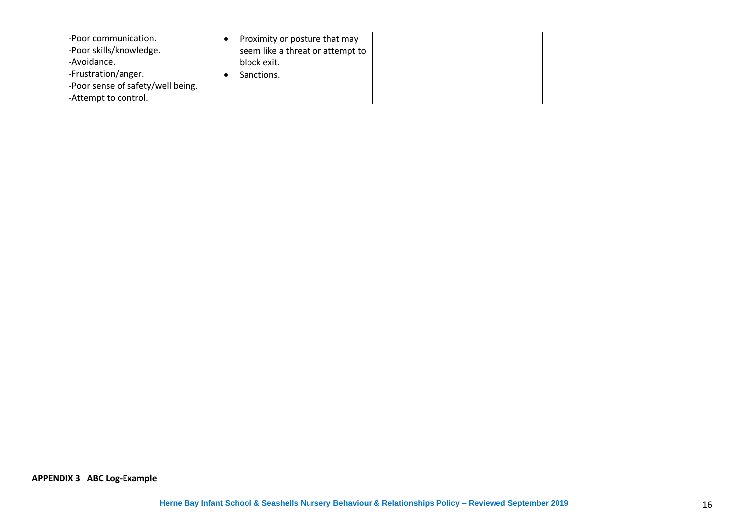| -Poor communication.              | Proximity or posture that may    |
|-----------------------------------|----------------------------------|
| -Poor skills/knowledge.           | seem like a threat or attempt to |
| -Avoidance.                       | block exit.                      |
| -Frustration/anger.               | Sanctions.                       |
| -Poor sense of safety/well being. |                                  |
| -Attempt to control.              |                                  |